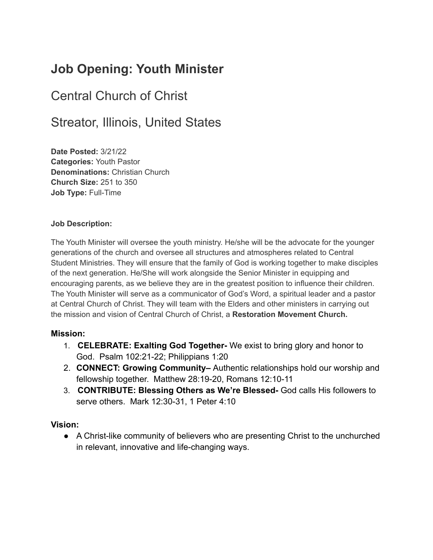# **Job Opening: Youth Minister**

# Central Church of Christ

# Streator, Illinois, United States

**Date Posted:** 3/21/22 **Categories:** Youth Pastor **Denominations:** Christian Church **Church Size:** 251 to 350 **Job Type:** Full-Time

#### **Job Description:**

The Youth Minister will oversee the youth ministry. He/she will be the advocate for the younger generations of the church and oversee all structures and atmospheres related to Central Student Ministries. They will ensure that the family of God is working together to make disciples of the next generation. He/She will work alongside the Senior Minister in equipping and encouraging parents, as we believe they are in the greatest position to influence their children. The Youth Minister will serve as a communicator of God's Word, a spiritual leader and a pastor at Central Church of Christ. They will team with the Elders and other ministers in carrying out the mission and vision of Central Church of Christ, a **Restoration Movement Church.**

#### **Mission:**

- 1. **CELEBRATE: Exalting God Together-** We exist to bring glory and honor to God. Psalm 102:21-22; Philippians 1:20
- 2. **CONNECT: Growing Community–** Authentic relationships hold our worship and fellowship together. Matthew 28:19-20, Romans 12:10-11
- 3. **CONTRIBUTE: Blessing Others as We're Blessed-** God calls His followers to serve others. Mark 12:30-31, 1 Peter 4:10

#### **Vision:**

● A Christ-like community of believers who are presenting Christ to the unchurched in relevant, innovative and life-changing ways.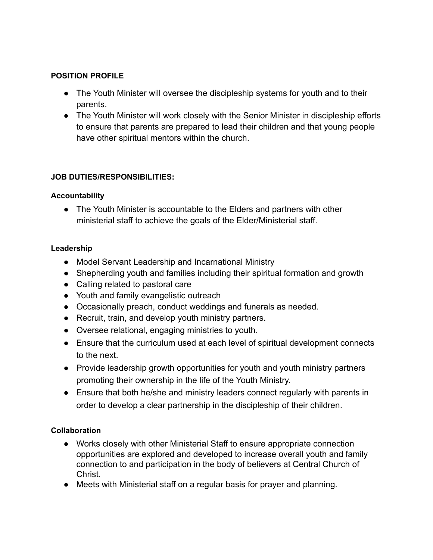#### **POSITION PROFILE**

- The Youth Minister will oversee the discipleship systems for youth and to their parents.
- The Youth Minister will work closely with the Senior Minister in discipleship efforts to ensure that parents are prepared to lead their children and that young people have other spiritual mentors within the church.

## **JOB DUTIES/RESPONSIBILITIES:**

## **Accountability**

• The Youth Minister is accountable to the Elders and partners with other ministerial staff to achieve the goals of the Elder/Ministerial staff.

## **Leadership**

- Model Servant Leadership and Incarnational Ministry
- Shepherding youth and families including their spiritual formation and growth
- Calling related to pastoral care
- Youth and family evangelistic outreach
- Occasionally preach, conduct weddings and funerals as needed.
- Recruit, train, and develop youth ministry partners.
- Oversee relational, engaging ministries to youth.
- Ensure that the curriculum used at each level of spiritual development connects to the next.
- Provide leadership growth opportunities for youth and youth ministry partners promoting their ownership in the life of the Youth Ministry.
- Ensure that both he/she and ministry leaders connect regularly with parents in order to develop a clear partnership in the discipleship of their children.

#### **Collaboration**

- Works closely with other Ministerial Staff to ensure appropriate connection opportunities are explored and developed to increase overall youth and family connection to and participation in the body of believers at Central Church of Christ.
- Meets with Ministerial staff on a regular basis for prayer and planning.